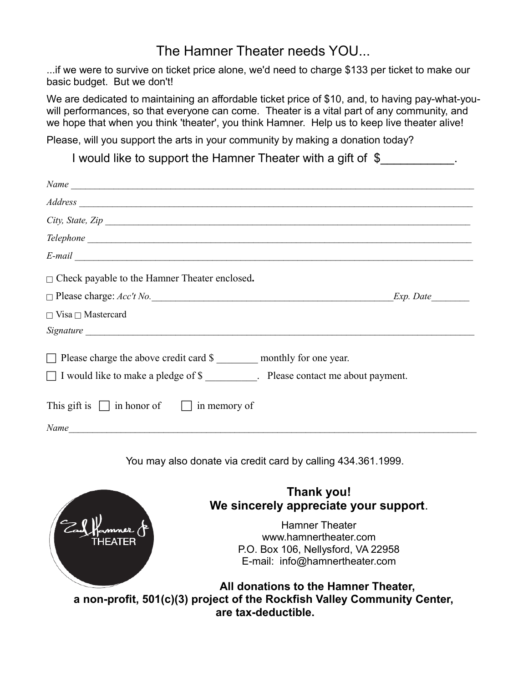# The Hamner Theater needs YOU...

...if we were to survive on ticket price alone, we'd need to charge \$133 per ticket to make our basic budget. But we don't!

We are dedicated to maintaining an affordable ticket price of \$10, and, to having pay-what-youwill performances, so that everyone can come. Theater is a vital part of any community, and we hope that when you think 'theater', you think Hamner. Help us to keep live theater alive!

Please, will you support the arts in your community by making a donation today?

I would like to support the Hamner Theater with a gift of \$

| Name                                                                                                                                                     |           |
|----------------------------------------------------------------------------------------------------------------------------------------------------------|-----------|
|                                                                                                                                                          |           |
| City, State, Zip                                                                                                                                         |           |
|                                                                                                                                                          |           |
| $E$ -mail $\overline{\phantom{a}}$                                                                                                                       |           |
| $\Box$ Check payable to the Hamner Theater enclosed.                                                                                                     |           |
| $\Box$ Please charge: $Acc't$ No.                                                                                                                        | Exp. Date |
| $\Box$ Visa $\Box$ Mastercard                                                                                                                            |           |
|                                                                                                                                                          |           |
| $\Box$ Please charge the above credit card \$ __________ monthly for one year.<br>□ I would like to make a pledge of \$ Please contact me about payment. |           |
| This gift is $\Box$ in honor of $\Box$ in memory of                                                                                                      |           |
| Name                                                                                                                                                     |           |

You may also donate via credit card by calling 434.361.1999.



### **Thank you! We sincerely appreciate your support**.

Hamner Theater [www.hamnertheater.com](http://www.hamnertheater.com/) P.O. Box 106, Nellysford, VA 22958 [E-mail: info@hamnertheater.com](mailto:info@hamnertheater.com)

**All donations to the Hamner Theater, a non-profit, 501(c)(3) project of the Rockfish Valley Community Center, are tax-deductible.**